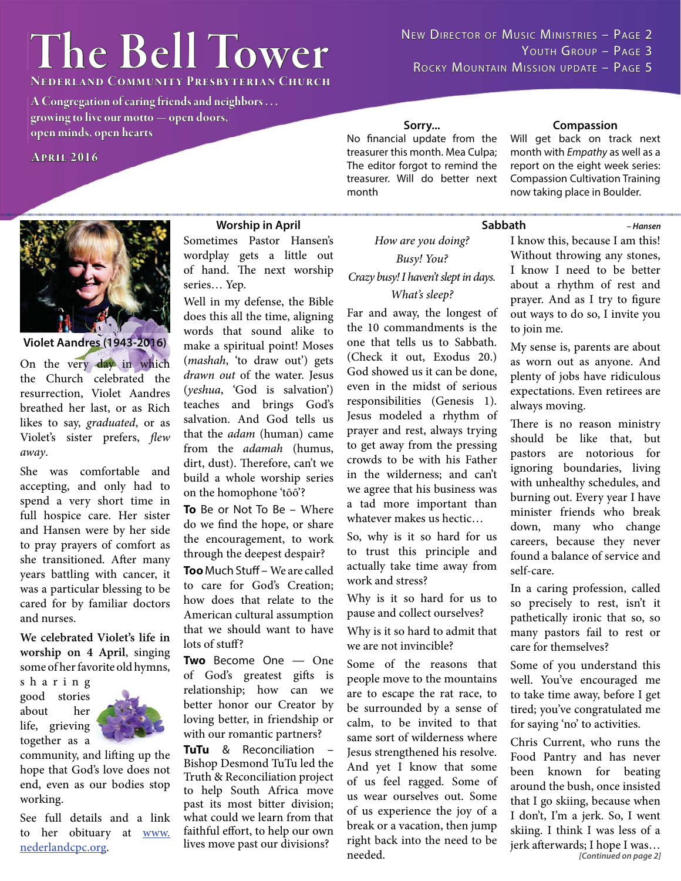# $The Bell Tower$

**NEDERLAND COMMUNITY PRESBYTERIAN CHURCH** 

**A Congregation of caring friends and neighbors . . . growing to live our motto — open doors, open minds, open hearts pen** 

**April 2016 pril** 

NEW DIRECTOR OF MUSIC MINISTRIES - PAGE 2 YOUTH GROUP - PAGE 3 ROCKY MOUNTAIN MISSION UPDATE - PAGE 5

**Sorry...**

No financial update from the treasurer this month. Mea Culpa; The editor forgot to remind the treasurer. Will do better next month

#### **Compassion**

Will get back on track next month with *Empathy* as well as a report on the eight week series: Compassion Cultivation Training now taking place in Boulder.

*– Hansen*



#### **Violet Aandres (1943-2016)**

On the very day in which the Church celebrated the resurrection, Violet Aandres breathed her last, or as Rich likes to say, graduated, or as Violet's sister prefers, flew away.

She was comfortable and accepting, and only had to spend a very short time in full hospice care. Her sister and Hansen were by her side to pray prayers of comfort as she transitioned. After many years battling with cancer, it was a particular blessing to be cared for by familiar doctors and nurses.

**We celebrated Violet's life in worship on 4 April**, singing some of her favorite old hymns,

s h a r i n g good stories about her life, grieving together as a



community, and lifting up the hope that God's love does not end, even as our bodies stop working.

See full details and a link to her obituary at www. nederlandcpc.org.

#### **Worship in April**

Sometimes Pastor Hansen's wordplay gets a little out of hand. The next worship series… Yep.

Well in my defense, the Bible does this all the time, aligning words that sound alike to make a spiritual point! Moses (mashah, 'to draw out') gets drawn out of the water. Jesus (yeshua, 'God is salvation') teaches and brings God's salvation. And God tells us that the adam (human) came from the adamah (humus, dirt, dust). Therefore, can't we build a whole worship series on the homophone 'tōō'?

**To** Be or Not To Be – Where do we find the hope, or share the encouragement, to work through the deepest despair?

**Too** Much Stuff – We are called to care for God's Creation; how does that relate to the American cultural assumption that we should want to have lots of stuff?

**Two** Become One — One of God's greatest gifts is relationship; how can we better honor our Creator by loving better, in friendship or with our romantic partners?

**TuTu** & Reconciliation – Bishop Desmond TuTu led the Truth & Reconciliation project to help South Africa move past its most bitter division; what could we learn from that faithful effort, to help our own lives move past our divisions?

How are you doing? Busy! You? Crazy busy! I haven't slept in days. What's sleep?

Far and away, the longest of the 10 commandments is the one that tells us to Sabbath. (Check it out, Exodus 20.) God showed us it can be done, even in the midst of serious responsibilities (Genesis 1). Jesus modeled a rhythm of prayer and rest, always trying to get away from the pressing crowds to be with his Father in the wilderness; and can't we agree that his business was a tad more important than whatever makes us hectic…

So, why is it so hard for us to trust this principle and actually take time away from work and stress?

Why is it so hard for us to pause and collect ourselves?

Why is it so hard to admit that we are not invincible?

Some of the reasons that people move to the mountains are to escape the rat race, to be surrounded by a sense of calm, to be invited to that same sort of wilderness where Jesus strengthened his resolve. And yet I know that some of us feel ragged. Some of us wear ourselves out. Some of us experience the joy of a break or a vacation, then jump right back into the need to be needed.

#### **Sabbath**

I know this, because I am this! Without throwing any stones, I know I need to be better about a rhythm of rest and prayer. And as I try to figure out ways to do so, I invite you to join me.

My sense is, parents are about as worn out as anyone. And plenty of jobs have ridiculous expectations. Even retirees are always moving.

There is no reason ministry should be like that, but pastors are notorious for ignoring boundaries, living with unhealthy schedules, and burning out. Every year I have minister friends who break down, many who change careers, because they never found a balance of service and self-care.

In a caring profession, called so precisely to rest, isn't it pathetically ironic that so, so many pastors fail to rest or care for themselves?

Some of you understand this well. You've encouraged me to take time away, before I get tired; you've congratulated me for saying 'no' to activities.

*[Continued on page 2]* Chris Current, who runs the Food Pantry and has never been known for beating around the bush, once insisted that I go skiing, because when I don't, I'm a jerk. So, I went skiing. I think I was less of a jerk afterwards; I hope I was...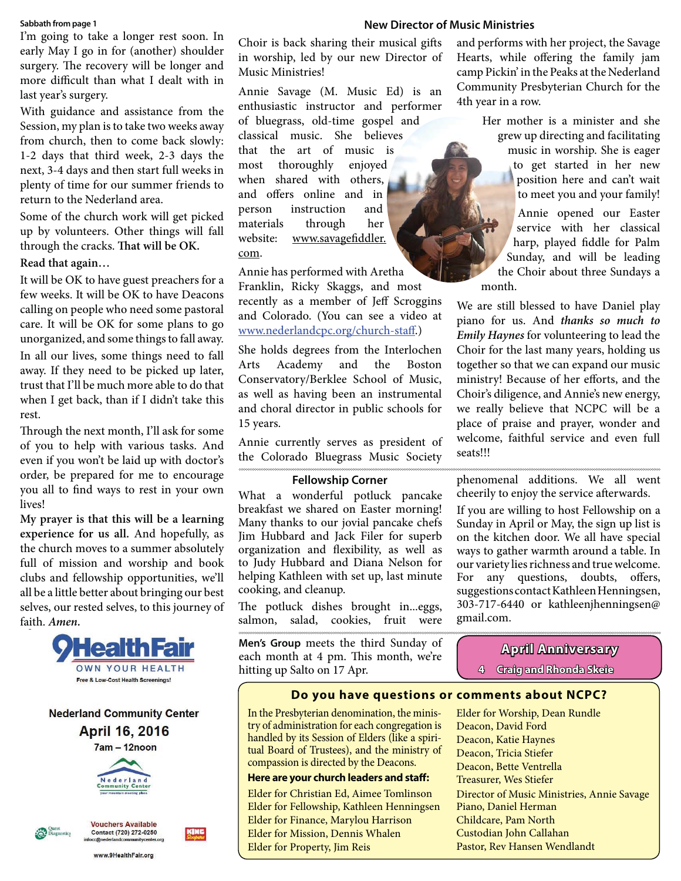#### **Sabbath from page 1**

I'm going to take a longer rest soon. In early May I go in for (another) shoulder surgery. The recovery will be longer and more difficult than what I dealt with in last year's surgery.

With guidance and assistance from the Session, my plan is to take two weeks away from church, then to come back slowly: 1-2 days that third week, 2-3 days the next, 3-4 days and then start full weeks in plenty of time for our summer friends to return to the Nederland area.

Some of the church work will get picked up by volunteers. Other things will fall through the cracks. That will be OK.

#### **Read that again…**

It will be OK to have guest preachers for a few weeks. It will be OK to have Deacons calling on people who need some pastoral care. It will be OK for some plans to go unorganized, and some things to fall away. In all our lives, some things need to fall away. If they need to be picked up later, trust that I'll be much more able to do that when I get back, than if I didn't take this rest.

Through the next month, I'll ask for some of you to help with various tasks. And even if you won't be laid up with doctor's order, be prepared for me to encourage you all to find ways to rest in your own lives!

**My prayer is that this will be a learning experience for us all.** And hopefully, as the church moves to a summer absolutely full of mission and worship and book clubs and fellowship opportunities, we'll all be a little better about bringing our best selves, our rested selves, to this journey of faith. **Amen.**



**Nederland Community Center April 16, 2016** 



**Vouchers Available** 

Contact (720) 272-0250



www.9HealthFair.org

Choir is back sharing their musical gifts in worship, led by our new Director of Music Ministries!

Annie Savage (M. Music Ed) is an enthusiastic instructor and performer of bluegrass, old-time gospel and classical music. She believes that the art of music is most thoroughly enjoyed when shared with others, and offers online and in person instruction and materials through her website: www.savagefiddler. com.

Annie has performed with Aretha Franklin, Ricky Skaggs, and most

recently as a member of Jeff Scroggins and Colorado. (You can see a video at www.nederlandcpc.org/church-staff.)

She holds degrees from the Interlochen Arts Academy and the Boston Conservatory/Berklee School of Music, as well as having been an instrumental and choral director in public schools for 15 years.

Annie currently serves as president of the Colorado Bluegrass Music Society

#### **Fellowship Corner**

What a wonderful potluck pancake breakfast we shared on Easter morning! Many thanks to our jovial pancake chefs Jim Hubbard and Jack Filer for superb organization and flexibility, as well as to Judy Hubbard and Diana Nelson for helping Kathleen with set up, last minute cooking, and cleanup.

The potluck dishes brought in...eggs, salmon, salad, cookies, fruit were

**Men's Group** meets the third Sunday of each month at 4 pm. This month, we're hitting up Salto on 17 Apr.

#### **New Director of Music Ministries**

and performs with her project, the Savage Hearts, while offering the family jam camp Pickin' in the Peaks at the Nederland Community Presbyterian Church for the 4th year in a row.

> Her mother is a minister and she grew up directing and facilitating music in worship. She is eager to get started in her new position here and can't wait to meet you and your family!

> Annie opened our Easter service with her classical harp, played fiddle for Palm Sunday, and will be leading the Choir about three Sundays a month.

We are still blessed to have Daniel play piano for us. And **thanks so much to Emily Haynes** for volunteering to lead the Choir for the last many years, holding us together so that we can expand our music ministry! Because of her efforts, and the Choir's diligence, and Annie's new energy, we really believe that NCPC will be a place of praise and prayer, wonder and welcome, faithful service and even full seats!!!

phenomenal additions. We all went cheerily to enjoy the service afterwards.

If you are willing to host Fellowship on a Sunday in April or May, the sign up list is on the kitchen door. We all have special ways to gather warmth around a table. In our variety lies richness and true welcome. For any questions, doubts, offers, suggestions contact Kathleen Henningsen, 303-717-6440 or kathleenjhenningsen@ gmail.com.

### **April Anniversary pril**

**4 Craig and Rhonda Skeie raig** 

#### **Do you have questions or comments about NCPC?**

In the Presbyterian denomination, the ministry of administration for each congregation is handled by its Session of Elders (like a spiritual Board of Trustees), and the ministry of compassion is directed by the Deacons.

#### **Here are your church leaders and staff :**

Elder for Christian Ed, Aimee Tomlinson Elder for Fellowship, Kathleen Henningsen Elder for Finance, Marylou Harrison Elder for Mission, Dennis Whalen Elder for Property, Jim Reis

Elder for Worship, Dean Rundle Deacon, David Ford Deacon, Katie Haynes Deacon, Tricia Stiefer Deacon, Bette Ventrella Treasurer, Wes Stiefer Director of Music Ministries, Annie Savage Piano, Daniel Herman Childcare, Pam North Custodian John Callahan Pastor, Rev Hansen Wendlandt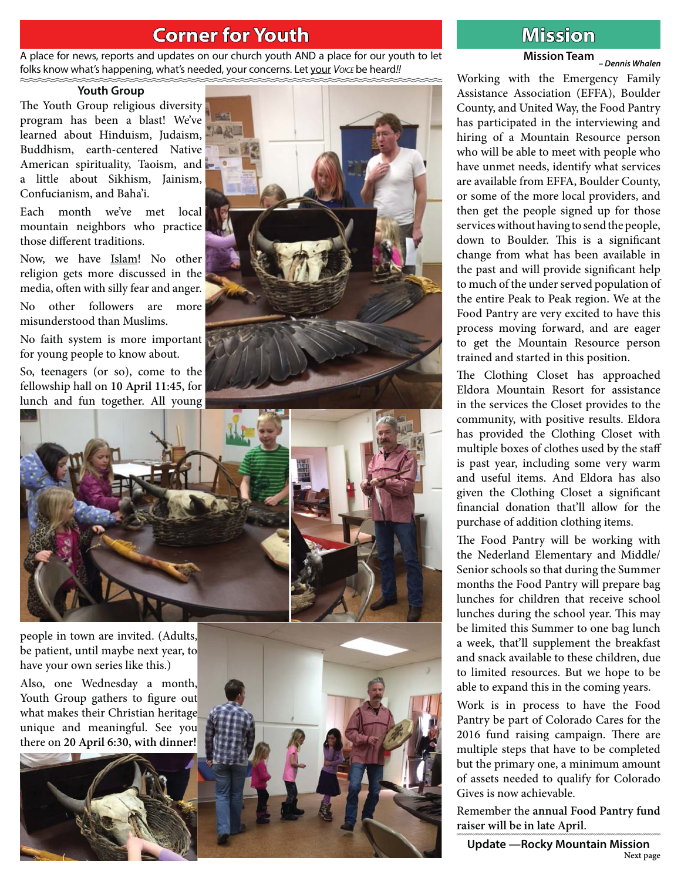## **Corner for Youth original contract of the Mission**

A place for news, reports and updates on our church youth AND a place for our youth to let folks know what's happening, what's needed, your concerns. Let your *Voice* be heard!!

#### **Youth Group**

The Youth Group religious diversity program has been a blast! We've learned about Hinduism, Judaism, Buddhism, earth-centered Native American spirituality, Taoism, and a little about Sikhism, Jainism, Confucianism, and Baha'i.

Each month we've met local mountain neighbors who practice those different traditions.

Now, we have Islam! No other religion gets more discussed in the media, often with silly fear and anger.

No other followers are more misunderstood than Muslims.

No faith system is more important for young people to know about.

So, teenagers (or so), come to the fellowship hall on **10 April 11:45**, for lunch and fun together. All young





people in town are invited. (Adults, be patient, until maybe next year, to have your own series like this.)

Also, one Wednesday a month, Youth Group gathers to figure out what makes their Christian heritage unique and meaningful. See you there on **20 April 6:30, with dinner!** 





# **Mission Team** *– Dennis Whalen*

Working with the Emergency Family Assistance Association (EFFA), Boulder County, and United Way, the Food Pantry has participated in the interviewing and hiring of a Mountain Resource person who will be able to meet with people who have unmet needs, identify what services are available from EFFA, Boulder County, or some of the more local providers, and then get the people signed up for those services without having to send the people, down to Boulder. This is a significant change from what has been available in the past and will provide significant help to much of the under served population of the entire Peak to Peak region. We at the Food Pantry are very excited to have this process moving forward, and are eager to get the Mountain Resource person trained and started in this position.

The Clothing Closet has approached Eldora Mountain Resort for assistance in the services the Closet provides to the community, with positive results. Eldora has provided the Clothing Closet with multiple boxes of clothes used by the staff is past year, including some very warm and useful items. And Eldora has also given the Clothing Closet a significant financial donation that'll allow for the purchase of addition clothing items.

The Food Pantry will be working with the Nederland Elementary and Middle/ Senior schools so that during the Summer months the Food Pantry will prepare bag lunches for children that receive school lunches during the school year. This may be limited this Summer to one bag lunch a week, that'll supplement the breakfast and snack available to these children, due to limited resources. But we hope to be able to expand this in the coming years.

Work is in process to have the Food Pantry be part of Colorado Cares for the 2016 fund raising campaign. There are multiple steps that have to be completed but the primary one, a minimum amount of assets needed to qualify for Colorado Gives is now achievable.

Remember the **annual Food Pantry fund raiser will be in late April**.

**Update —Rocky Mountain Mission Next page**